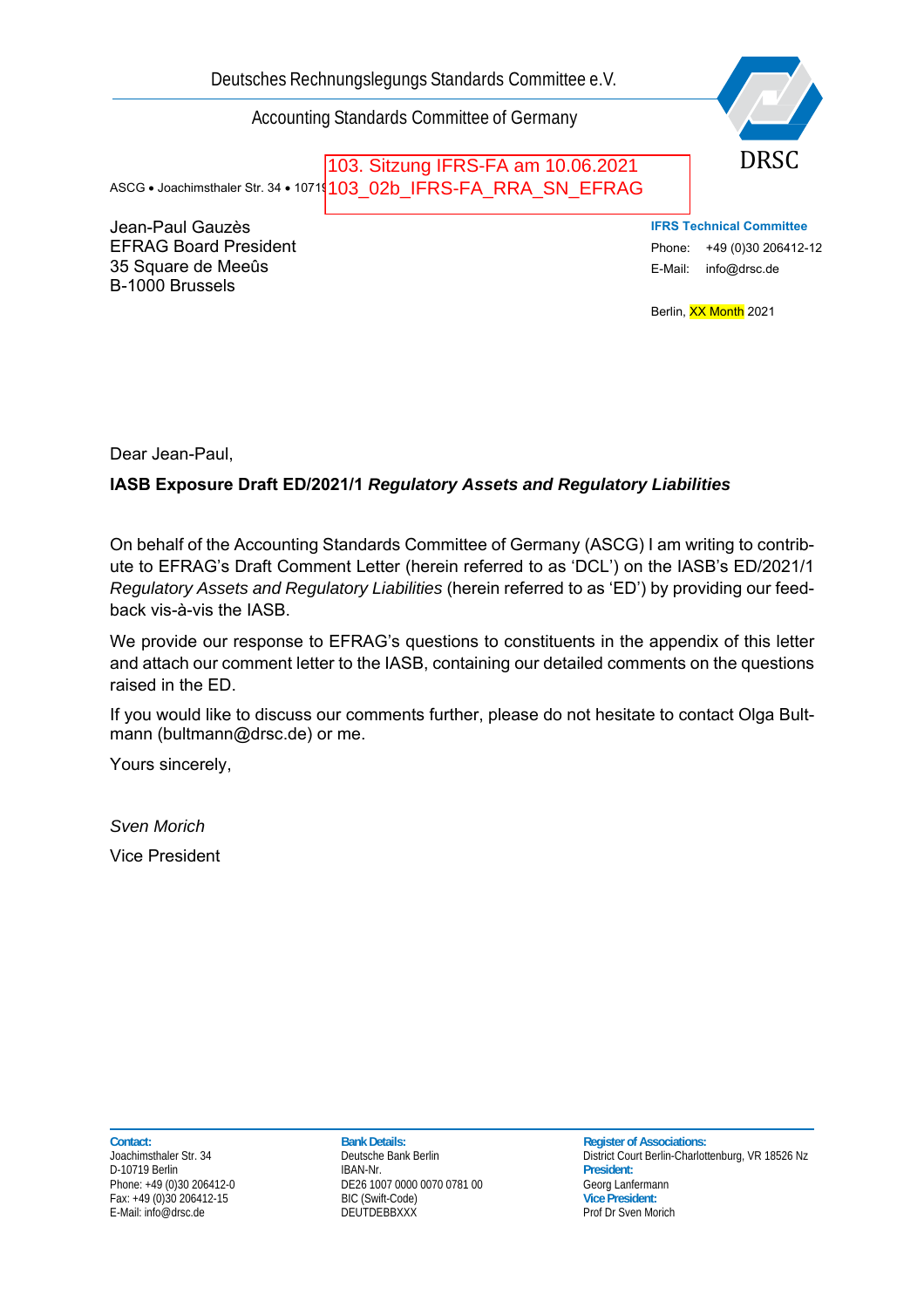Deutsches Rechnungslegungs Standards Committee e.V.

Accounting Standards Committee of Germany

ASCG • Joachimsthaler Str. 34 • 1071<mark>(103\_02b\_IFRS-FA\_RRA\_SN\_EFRAG</mark> 103. Sitzung IFRS-FA am 10.06.2021

Jean-Paul Gauzès EFRAG Board President 35 Square de Meeûs B-1000 Brussels

DRSC

**IFRS Technical Committee**  Phone: +49 (0)30 206412-12 E-Mail: info@drsc.de

Berlin, XX Month 2021

Dear Jean-Paul,

## **IASB Exposure Draft ED/2021/1** *Regulatory Assets and Regulatory Liabilities*

On behalf of the Accounting Standards Committee of Germany (ASCG) I am writing to contribute to EFRAG's Draft Comment Letter (herein referred to as 'DCL') on the IASB's ED/2021/1 *Regulatory Assets and Regulatory Liabilities* (herein referred to as 'ED') by providing our feedback vis-à-vis the IASB.

We provide our response to EFRAG's questions to constituents in the appendix of this letter and attach our comment letter to the IASB, containing our detailed comments on the questions raised in the ED.

If you would like to discuss our comments further, please do not hesitate to contact Olga Bultmann (bultmann@drsc.de) or me.

Yours sincerely,

*Sven Morich*  Vice President

D-10719 Berlin

Contact: Contact: **Bank Details:** Bank Details: **Bank Details:** Register of Associations: **Contact: Register of Associations: Contact: Park Details: Contact: Contact: Contact: Contact: Contact: Contact:** Phone: +49 (0)30 206412-0 DE26 1007 0000 0070 0781 00 Georg Lanfermann<br>
Fax: +49 (0)30 206412-15 BIC (Swift-Code) BIC (Swift-Code) Discoversident: Fax: +49 (0)30 206412-15 BIC (Swift-Code) **Vice President:**

Deutsche Bank Berlin<br>
Joachimsthaler Str. 34 Deutsche Berlin-Charlottenburg, VR 18526 Nz<br>
President: Prof Dr Sven Morich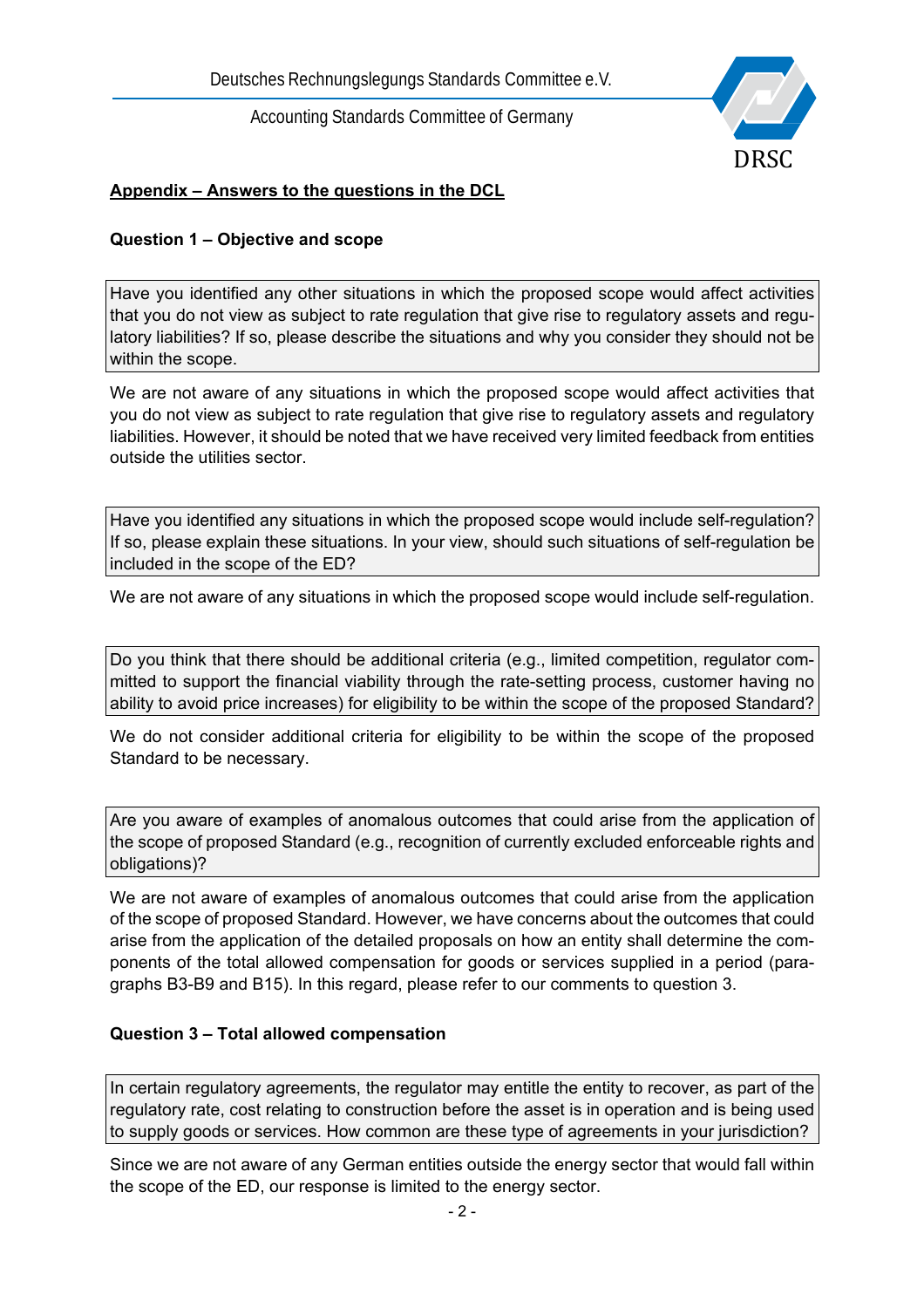

## **Appendix – Answers to the questions in the DCL**

#### **Question 1 – Objective and scope**

Have you identified any other situations in which the proposed scope would affect activities that you do not view as subject to rate regulation that give rise to regulatory assets and regulatory liabilities? If so, please describe the situations and why you consider they should not be within the scope.

We are not aware of any situations in which the proposed scope would affect activities that you do not view as subject to rate regulation that give rise to regulatory assets and regulatory liabilities. However, it should be noted that we have received very limited feedback from entities outside the utilities sector.

Have you identified any situations in which the proposed scope would include self-regulation? If so, please explain these situations. In your view, should such situations of self-regulation be included in the scope of the ED?

We are not aware of any situations in which the proposed scope would include self-regulation.

Do you think that there should be additional criteria (e.g., limited competition, regulator committed to support the financial viability through the rate-setting process, customer having no ability to avoid price increases) for eligibility to be within the scope of the proposed Standard?

We do not consider additional criteria for eligibility to be within the scope of the proposed Standard to be necessary.

Are you aware of examples of anomalous outcomes that could arise from the application of the scope of proposed Standard (e.g., recognition of currently excluded enforceable rights and obligations)?

We are not aware of examples of anomalous outcomes that could arise from the application of the scope of proposed Standard. However, we have concerns about the outcomes that could arise from the application of the detailed proposals on how an entity shall determine the components of the total allowed compensation for goods or services supplied in a period (paragraphs B3-B9 and B15). In this regard, please refer to our comments to question 3.

#### **Question 3 – Total allowed compensation**

In certain regulatory agreements, the regulator may entitle the entity to recover, as part of the regulatory rate, cost relating to construction before the asset is in operation and is being used to supply goods or services. How common are these type of agreements in your jurisdiction?

Since we are not aware of any German entities outside the energy sector that would fall within the scope of the ED, our response is limited to the energy sector.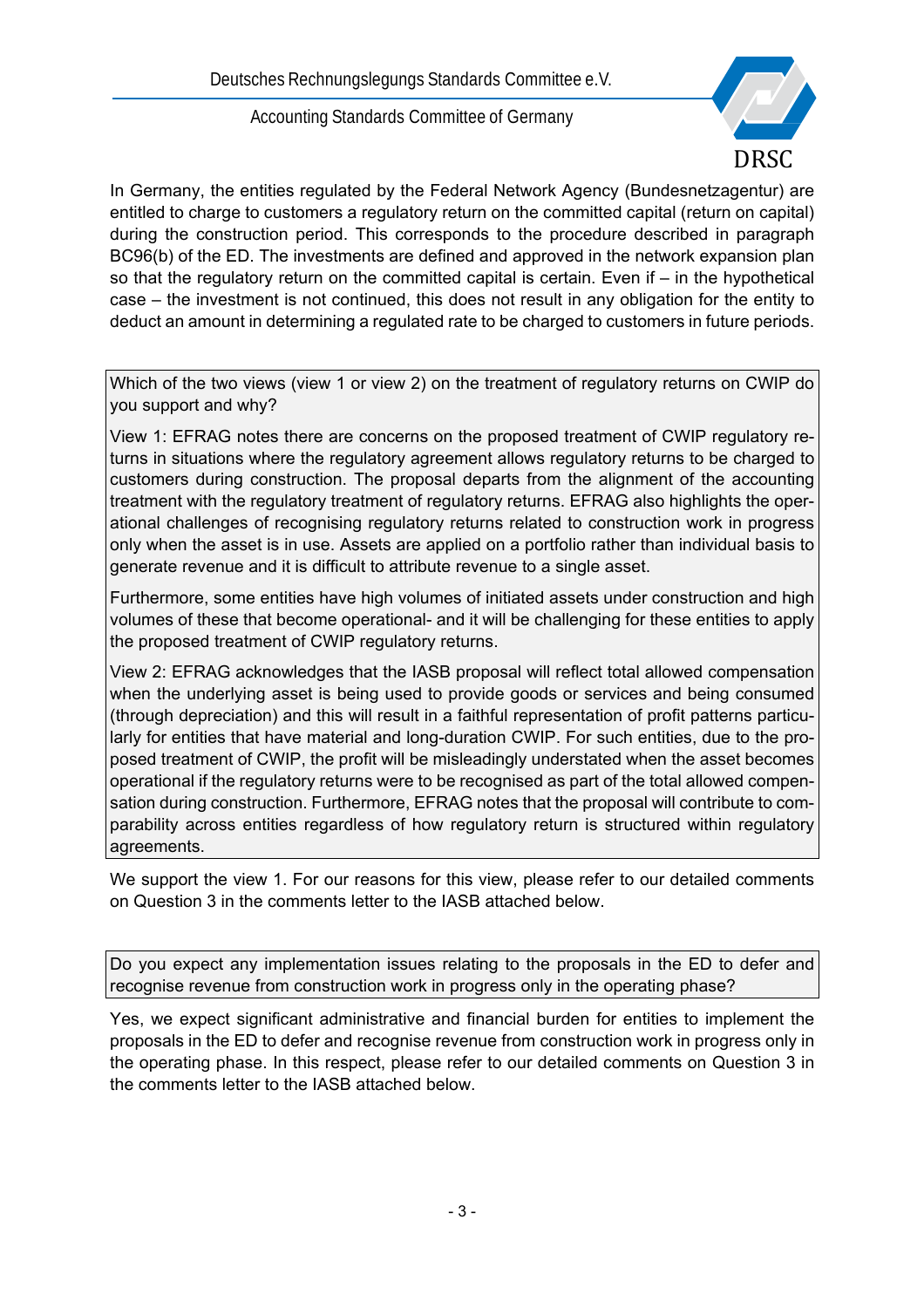

In Germany, the entities regulated by the Federal Network Agency (Bundesnetzagentur) are entitled to charge to customers a regulatory return on the committed capital (return on capital) during the construction period. This corresponds to the procedure described in paragraph BC96(b) of the ED. The investments are defined and approved in the network expansion plan so that the regulatory return on the committed capital is certain. Even if – in the hypothetical case – the investment is not continued, this does not result in any obligation for the entity to deduct an amount in determining a regulated rate to be charged to customers in future periods.

Which of the two views (view 1 or view 2) on the treatment of regulatory returns on CWIP do you support and why?

View 1: EFRAG notes there are concerns on the proposed treatment of CWIP regulatory returns in situations where the regulatory agreement allows regulatory returns to be charged to customers during construction. The proposal departs from the alignment of the accounting treatment with the regulatory treatment of regulatory returns. EFRAG also highlights the operational challenges of recognising regulatory returns related to construction work in progress only when the asset is in use. Assets are applied on a portfolio rather than individual basis to generate revenue and it is difficult to attribute revenue to a single asset.

Furthermore, some entities have high volumes of initiated assets under construction and high volumes of these that become operational- and it will be challenging for these entities to apply the proposed treatment of CWIP regulatory returns.

View 2: EFRAG acknowledges that the IASB proposal will reflect total allowed compensation when the underlying asset is being used to provide goods or services and being consumed (through depreciation) and this will result in a faithful representation of profit patterns particularly for entities that have material and long-duration CWIP. For such entities, due to the proposed treatment of CWIP, the profit will be misleadingly understated when the asset becomes operational if the regulatory returns were to be recognised as part of the total allowed compensation during construction. Furthermore, EFRAG notes that the proposal will contribute to comparability across entities regardless of how regulatory return is structured within regulatory agreements.

We support the view 1. For our reasons for this view, please refer to our detailed comments on Question 3 in the comments letter to the IASB attached below.

Do you expect any implementation issues relating to the proposals in the ED to defer and recognise revenue from construction work in progress only in the operating phase?

Yes, we expect significant administrative and financial burden for entities to implement the proposals in the ED to defer and recognise revenue from construction work in progress only in the operating phase. In this respect, please refer to our detailed comments on Question 3 in the comments letter to the IASB attached below.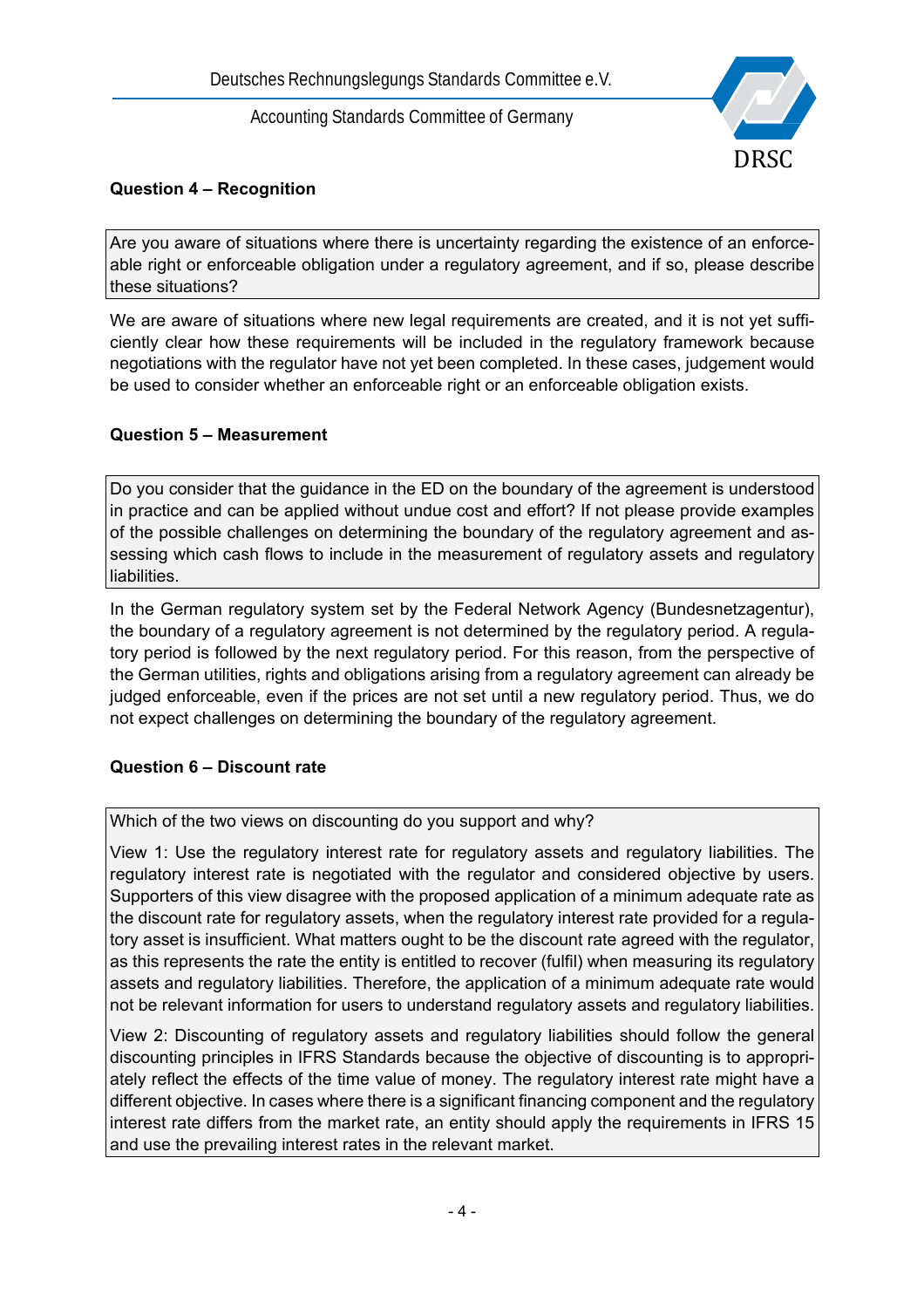

## **Question 4 – Recognition**

Are you aware of situations where there is uncertainty regarding the existence of an enforceable right or enforceable obligation under a regulatory agreement, and if so, please describe these situations?

We are aware of situations where new legal requirements are created, and it is not yet sufficiently clear how these requirements will be included in the regulatory framework because negotiations with the regulator have not yet been completed. In these cases, judgement would be used to consider whether an enforceable right or an enforceable obligation exists.

## **Question 5 – Measurement**

Do you consider that the guidance in the ED on the boundary of the agreement is understood in practice and can be applied without undue cost and effort? If not please provide examples of the possible challenges on determining the boundary of the regulatory agreement and assessing which cash flows to include in the measurement of regulatory assets and regulatory liabilities.

In the German regulatory system set by the Federal Network Agency (Bundesnetzagentur), the boundary of a regulatory agreement is not determined by the regulatory period. A regulatory period is followed by the next regulatory period. For this reason, from the perspective of the German utilities, rights and obligations arising from a regulatory agreement can already be judged enforceable, even if the prices are not set until a new regulatory period. Thus, we do not expect challenges on determining the boundary of the regulatory agreement.

#### **Question 6 – Discount rate**

Which of the two views on discounting do you support and why?

View 1: Use the regulatory interest rate for regulatory assets and regulatory liabilities. The regulatory interest rate is negotiated with the regulator and considered objective by users. Supporters of this view disagree with the proposed application of a minimum adequate rate as the discount rate for regulatory assets, when the regulatory interest rate provided for a regulatory asset is insufficient. What matters ought to be the discount rate agreed with the regulator, as this represents the rate the entity is entitled to recover (fulfil) when measuring its regulatory assets and regulatory liabilities. Therefore, the application of a minimum adequate rate would not be relevant information for users to understand regulatory assets and regulatory liabilities.

View 2: Discounting of regulatory assets and regulatory liabilities should follow the general discounting principles in IFRS Standards because the objective of discounting is to appropriately reflect the effects of the time value of money. The regulatory interest rate might have a different objective. In cases where there is a significant financing component and the regulatory interest rate differs from the market rate, an entity should apply the requirements in IFRS 15 and use the prevailing interest rates in the relevant market.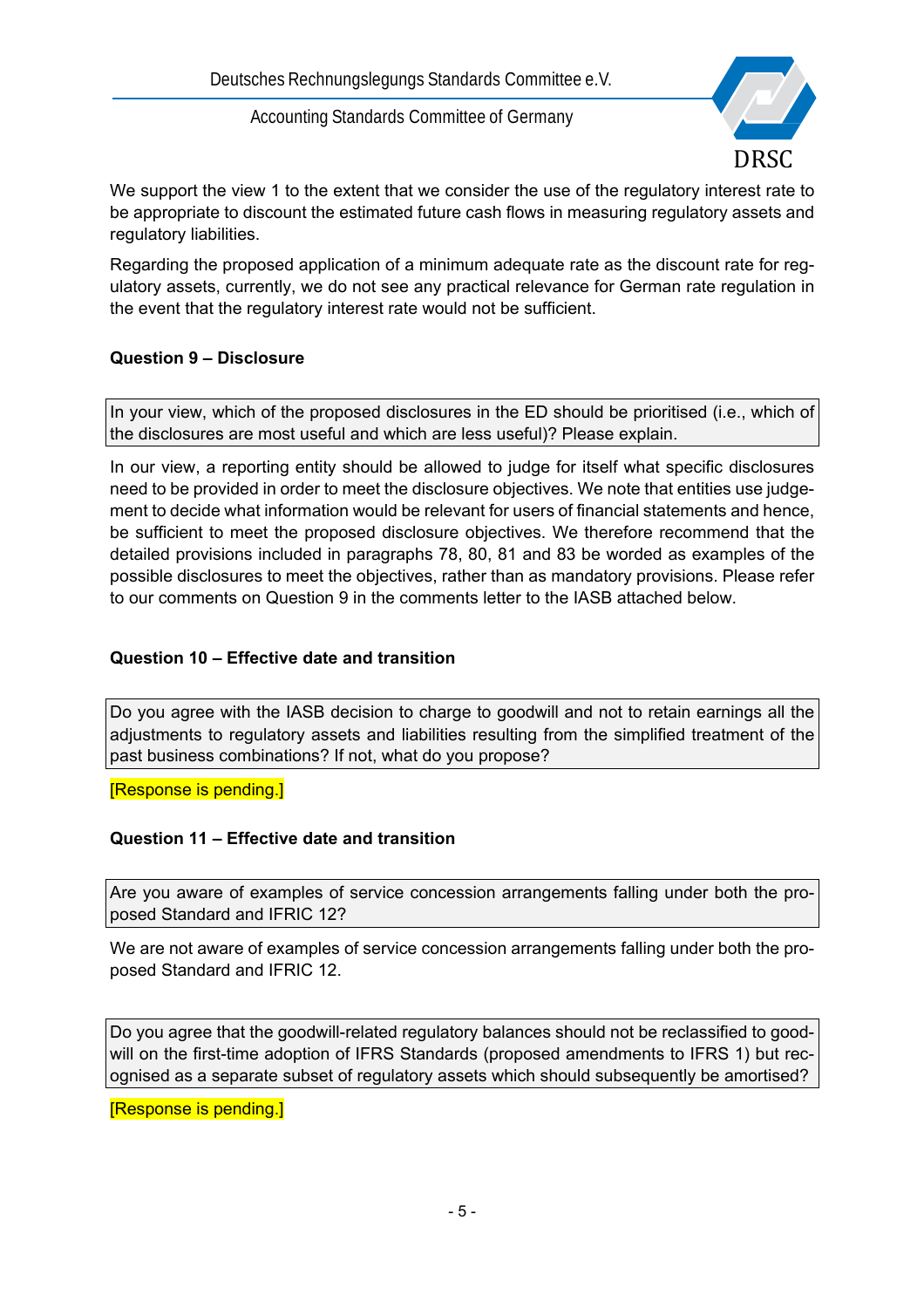

We support the view 1 to the extent that we consider the use of the regulatory interest rate to be appropriate to discount the estimated future cash flows in measuring regulatory assets and regulatory liabilities.

Regarding the proposed application of a minimum adequate rate as the discount rate for regulatory assets, currently, we do not see any practical relevance for German rate regulation in the event that the regulatory interest rate would not be sufficient.

## **Question 9 – Disclosure**

In your view, which of the proposed disclosures in the ED should be prioritised (i.e., which of the disclosures are most useful and which are less useful)? Please explain.

In our view, a reporting entity should be allowed to judge for itself what specific disclosures need to be provided in order to meet the disclosure objectives. We note that entities use judgement to decide what information would be relevant for users of financial statements and hence, be sufficient to meet the proposed disclosure objectives. We therefore recommend that the detailed provisions included in paragraphs 78, 80, 81 and 83 be worded as examples of the possible disclosures to meet the objectives, rather than as mandatory provisions. Please refer to our comments on Question 9 in the comments letter to the IASB attached below.

# **Question 10 – Effective date and transition**

Do you agree with the IASB decision to charge to goodwill and not to retain earnings all the adjustments to regulatory assets and liabilities resulting from the simplified treatment of the past business combinations? If not, what do you propose?

[Response is pending.]

#### **Question 11 – Effective date and transition**

Are you aware of examples of service concession arrangements falling under both the proposed Standard and IFRIC 12?

We are not aware of examples of service concession arrangements falling under both the proposed Standard and IFRIC 12.

Do you agree that the goodwill-related regulatory balances should not be reclassified to goodwill on the first-time adoption of IFRS Standards (proposed amendments to IFRS 1) but recognised as a separate subset of regulatory assets which should subsequently be amortised?

[Response is pending.]